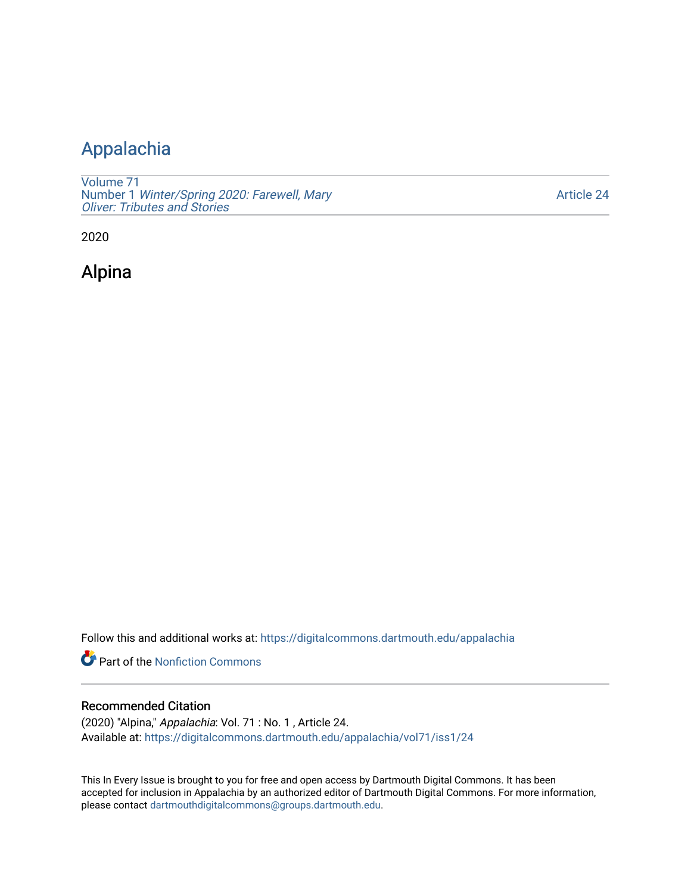# [Appalachia](https://digitalcommons.dartmouth.edu/appalachia)

[Volume 71](https://digitalcommons.dartmouth.edu/appalachia/vol71) Number 1 [Winter/Spring 2020: Farewell, Mary](https://digitalcommons.dartmouth.edu/appalachia/vol71/iss1) [Oliver: Tributes and Stories](https://digitalcommons.dartmouth.edu/appalachia/vol71/iss1) 

[Article 24](https://digitalcommons.dartmouth.edu/appalachia/vol71/iss1/24) 

2020

Alpina

Follow this and additional works at: [https://digitalcommons.dartmouth.edu/appalachia](https://digitalcommons.dartmouth.edu/appalachia?utm_source=digitalcommons.dartmouth.edu%2Fappalachia%2Fvol71%2Fiss1%2F24&utm_medium=PDF&utm_campaign=PDFCoverPages)

Part of the [Nonfiction Commons](http://network.bepress.com/hgg/discipline/1152?utm_source=digitalcommons.dartmouth.edu%2Fappalachia%2Fvol71%2Fiss1%2F24&utm_medium=PDF&utm_campaign=PDFCoverPages) 

# Recommended Citation

(2020) "Alpina," Appalachia: Vol. 71 : No. 1 , Article 24. Available at: [https://digitalcommons.dartmouth.edu/appalachia/vol71/iss1/24](https://digitalcommons.dartmouth.edu/appalachia/vol71/iss1/24?utm_source=digitalcommons.dartmouth.edu%2Fappalachia%2Fvol71%2Fiss1%2F24&utm_medium=PDF&utm_campaign=PDFCoverPages) 

This In Every Issue is brought to you for free and open access by Dartmouth Digital Commons. It has been accepted for inclusion in Appalachia by an authorized editor of Dartmouth Digital Commons. For more information, please contact [dartmouthdigitalcommons@groups.dartmouth.edu](mailto:dartmouthdigitalcommons@groups.dartmouth.edu).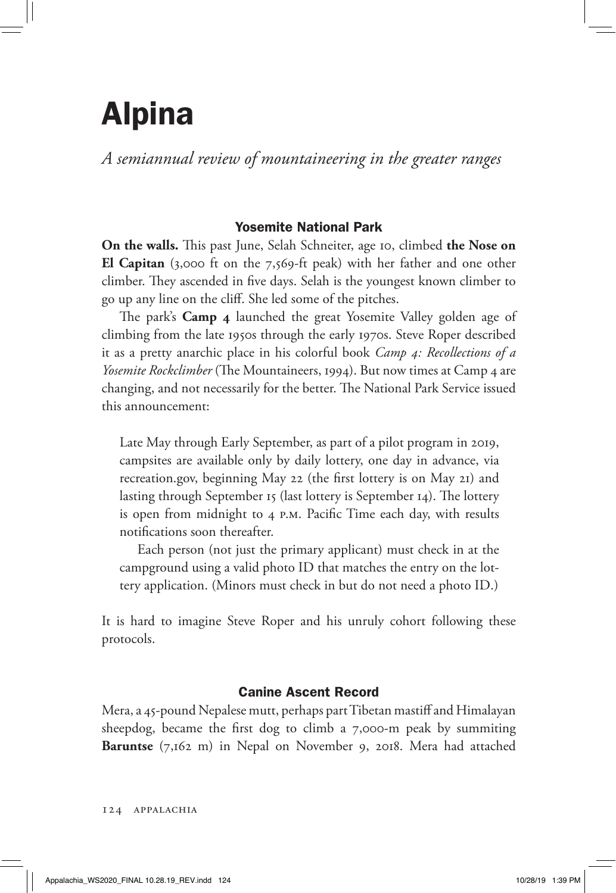# Alpina

*A semiannual review of mountaineering in the greater ranges*

# Yosemite National Park

**On the walls.** This past June, Selah Schneiter, age 10, climbed **the Nose on El Capitan** (3,000 ft on the 7,569-ft peak) with her father and one other climber. They ascended in five days. Selah is the youngest known climber to go up any line on the cliff. She led some of the pitches.

The park's **Camp 4** launched the great Yosemite Valley golden age of climbing from the late 1950s through the early 1970s. Steve Roper described it as a pretty anarchic place in his colorful book *Camp 4: Recollections of a Yosemite Rockclimber* (The Mountaineers, 1994). But now times at Camp 4 are changing, and not necessarily for the better. The National Park Service issued this announcement:

Late May through Early September, as part of a pilot program in 2019, campsites are available only by daily lottery, one day in advance, via recreation.gov, beginning May 22 (the first lottery is on May 21) and lasting through September 15 (last lottery is September 14). The lottery is open from midnight to 4 p.m. Pacific Time each day, with results notifications soon thereafter.

Each person (not just the primary applicant) must check in at the campground using a valid photo ID that matches the entry on the lottery application. (Minors must check in but do not need a photo ID.)

It is hard to imagine Steve Roper and his unruly cohort following these protocols.

# Canine Ascent Record

Mera, a 45-pound Nepalese mutt, perhaps part Tibetan mastiff and Himalayan sheepdog, became the first dog to climb a 7,000-m peak by summiting **Baruntse** (7,162 m) in Nepal on November 9, 2018. Mera had attached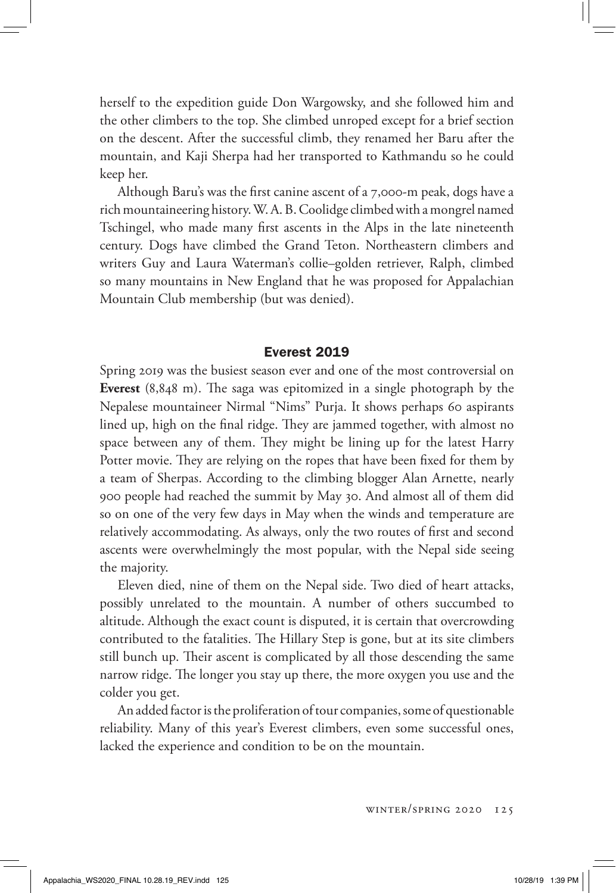herself to the expedition guide Don Wargowsky, and she followed him and the other climbers to the top. She climbed unroped except for a brief section on the descent. After the successful climb, they renamed her Baru after the mountain, and Kaji Sherpa had her transported to Kathmandu so he could keep her.

Although Baru's was the first canine ascent of a 7,000-m peak, dogs have a rich mountaineering history. W. A. B. Coolidge climbed with a mongrel named Tschingel, who made many first ascents in the Alps in the late nineteenth century. Dogs have climbed the Grand Teton. Northeastern climbers and writers Guy and Laura Waterman's collie–golden retriever, Ralph, climbed so many mountains in New England that he was proposed for Appalachian Mountain Club membership (but was denied).

#### Everest 2019

Spring 2019 was the busiest season ever and one of the most controversial on **Everest** (8,848 m). The saga was epitomized in a single photograph by the Nepalese mountaineer Nirmal "Nims" Purja. It shows perhaps 60 aspirants lined up, high on the final ridge. They are jammed together, with almost no space between any of them. They might be lining up for the latest Harry Potter movie. They are relying on the ropes that have been fixed for them by a team of Sherpas. According to the climbing blogger Alan Arnette, nearly 900 people had reached the summit by May 30. And almost all of them did so on one of the very few days in May when the winds and temperature are relatively accommodating. As always, only the two routes of first and second ascents were overwhelmingly the most popular, with the Nepal side seeing the majority.

Eleven died, nine of them on the Nepal side. Two died of heart attacks, possibly unrelated to the mountain. A number of others succumbed to altitude. Although the exact count is disputed, it is certain that overcrowding contributed to the fatalities. The Hillary Step is gone, but at its site climbers still bunch up. Their ascent is complicated by all those descending the same narrow ridge. The longer you stay up there, the more oxygen you use and the colder you get.

An added factor is the proliferation of tour companies, some of questionable reliability. Many of this year's Everest climbers, even some successful ones, lacked the experience and condition to be on the mountain.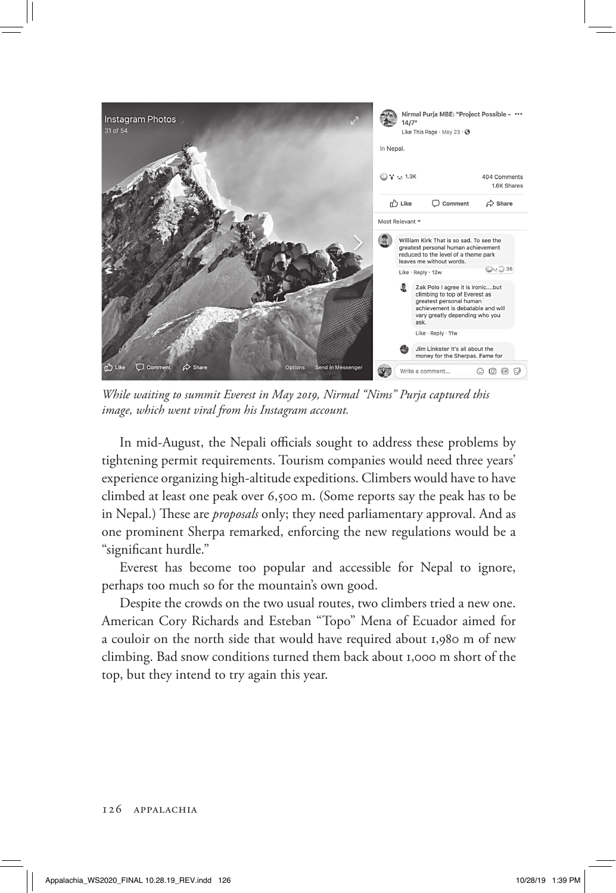

*While waiting to summit Everest in May 2019, Nirmal "Nims" Purja captured this image, which went viral from his Instagram account.*

In mid-August, the Nepali officials sought to address these problems by tightening permit requirements. Tourism companies would need three years' experience organizing high-altitude expeditions. Climbers would have to have climbed at least one peak over 6,500 m. (Some reports say the peak has to be in Nepal.) These are *proposals* only; they need parliamentary approval. And as one prominent Sherpa remarked, enforcing the new regulations would be a "significant hurdle."

Everest has become too popular and accessible for Nepal to ignore, perhaps too much so for the mountain's own good.

Despite the crowds on the two usual routes, two climbers tried a new one. American Cory Richards and Esteban "Topo" Mena of Ecuador aimed for a couloir on the north side that would have required about 1,980 m of new climbing. Bad snow conditions turned them back about 1,000 m short of the top, but they intend to try again this year.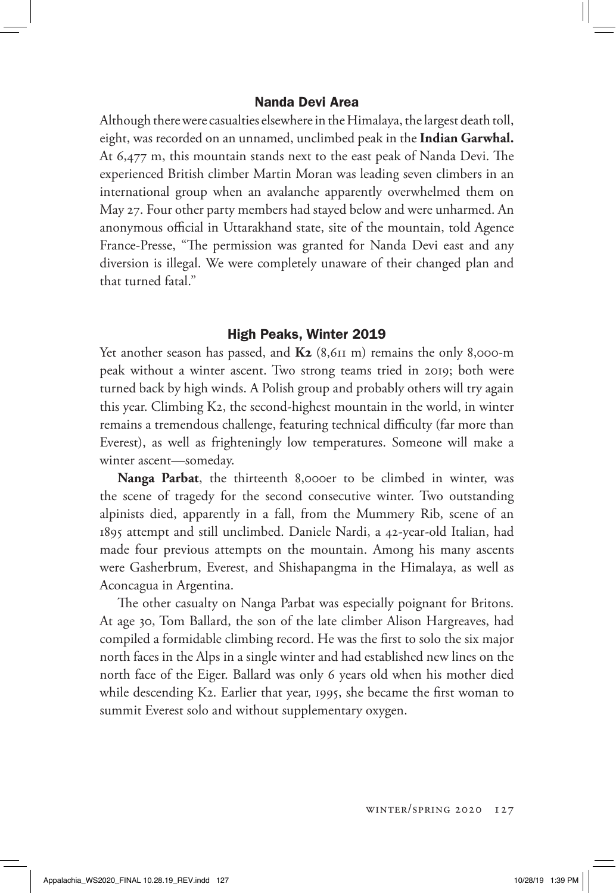## Nanda Devi Area

Although there were casualties elsewhere in the Himalaya, the largest death toll, eight, was recorded on an unnamed, unclimbed peak in the **Indian Garwhal.**  At 6,477 m, this mountain stands next to the east peak of Nanda Devi. The experienced British climber Martin Moran was leading seven climbers in an international group when an avalanche apparently overwhelmed them on May 27. Four other party members had stayed below and were unharmed. An anonymous official in Uttarakhand state, site of the mountain, told Agence France-Presse, "The permission was granted for Nanda Devi east and any diversion is illegal. We were completely unaware of their changed plan and that turned fatal."

### High Peaks, Winter 2019

Yet another season has passed, and **K2** (8,611 m) remains the only 8,000-m peak without a winter ascent. Two strong teams tried in 2019; both were turned back by high winds. A Polish group and probably others will try again this year. Climbing K2, the second-highest mountain in the world, in winter remains a tremendous challenge, featuring technical difficulty (far more than Everest), as well as frighteningly low temperatures. Someone will make a winter ascent—someday.

**Nanga Parbat**, the thirteenth 8,000er to be climbed in winter, was the scene of tragedy for the second consecutive winter. Two outstanding alpinists died, apparently in a fall, from the Mummery Rib, scene of an 1895 attempt and still unclimbed. Daniele Nardi, a 42-year-old Italian, had made four previous attempts on the mountain. Among his many ascents were Gasherbrum, Everest, and Shishapangma in the Himalaya, as well as Aconcagua in Argentina.

The other casualty on Nanga Parbat was especially poignant for Britons. At age 30, Tom Ballard, the son of the late climber Alison Hargreaves, had compiled a formidable climbing record. He was the first to solo the six major north faces in the Alps in a single winter and had established new lines on the north face of the Eiger. Ballard was only 6 years old when his mother died while descending K2. Earlier that year, 1995, she became the first woman to summit Everest solo and without supplementary oxygen.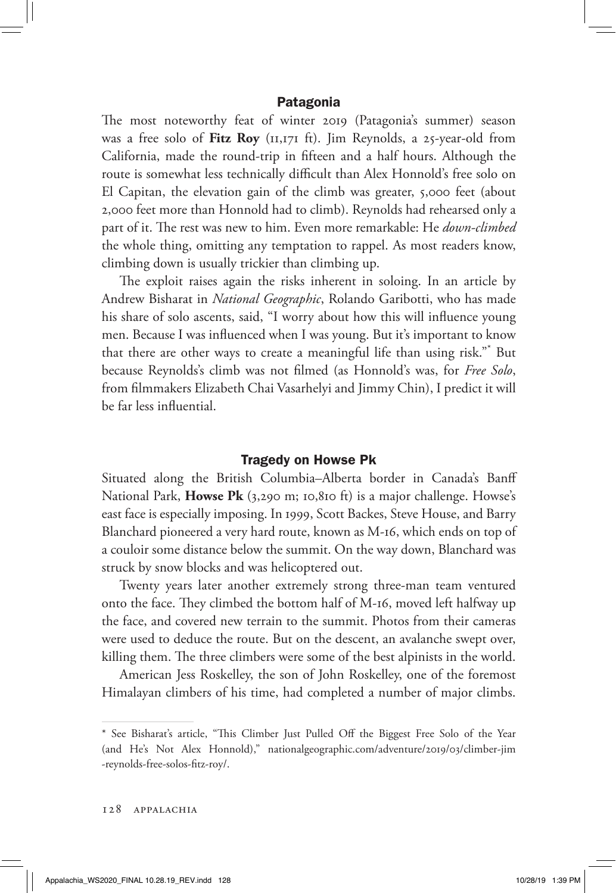#### Patagonia

The most noteworthy feat of winter 2019 (Patagonia's summer) season was a free solo of **Fitz Roy** (11,171 ft). Jim Reynolds, a 25-year-old from California, made the round-trip in fifteen and a half hours. Although the route is somewhat less technically difficult than Alex Honnold's free solo on El Capitan, the elevation gain of the climb was greater, 5,000 feet (about 2,000 feet more than Honnold had to climb). Reynolds had rehearsed only a part of it. The rest was new to him. Even more remarkable: He *down-climbed* the whole thing, omitting any temptation to rappel. As most readers know, climbing down is usually trickier than climbing up.

The exploit raises again the risks inherent in soloing. In an article by Andrew Bisharat in *National Geographic*, Rolando Garibotti, who has made his share of solo ascents, said, "I worry about how this will influence young men. Because I was influenced when I was young. But it's important to know that there are other ways to create a meaningful life than using risk."\* But because Reynolds's climb was not filmed (as Honnold's was, for *Free Solo*, from filmmakers Elizabeth Chai Vasarhelyi and Jimmy Chin), I predict it will be far less influential.

#### Tragedy on Howse Pk

Situated along the British Columbia–Alberta border in Canada's Banff National Park, **Howse Pk** (3,290 m; 10,810 ft) is a major challenge. Howse's east face is especially imposing. In 1999, Scott Backes, Steve House, and Barry Blanchard pioneered a very hard route, known as M-16, which ends on top of a couloir some distance below the summit. On the way down, Blanchard was struck by snow blocks and was helicoptered out.

Twenty years later another extremely strong three-man team ventured onto the face. They climbed the bottom half of M-16, moved left halfway up the face, and covered new terrain to the summit. Photos from their cameras were used to deduce the route. But on the descent, an avalanche swept over, killing them. The three climbers were some of the best alpinists in the world.

American Jess Roskelley, the son of John Roskelley, one of the foremost Himalayan climbers of his time, had completed a number of major climbs.

<sup>\*</sup> See Bisharat's article, "This Climber Just Pulled Off the Biggest Free Solo of the Year (and He's Not Alex Honnold)," nationalgeographic.com/adventure/2019/03/climber-jim -reynolds-free-solos-fitz-roy/.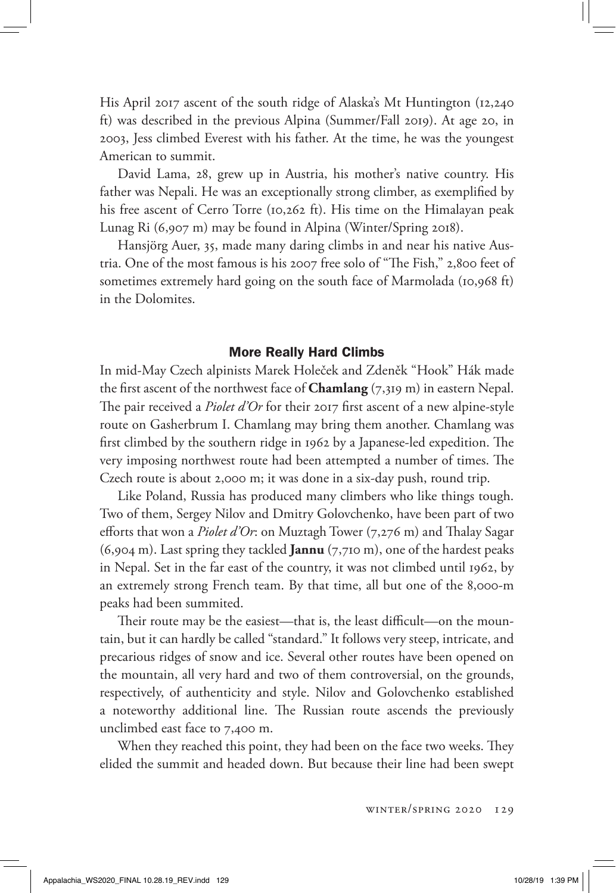His April 2017 ascent of the south ridge of Alaska's Mt Huntington (12,240 ft) was described in the previous Alpina (Summer/Fall 2019). At age 20, in 2003, Jess climbed Everest with his father. At the time, he was the youngest American to summit.

David Lama, 28, grew up in Austria, his mother's native country. His father was Nepali. He was an exceptionally strong climber, as exemplified by his free ascent of Cerro Torre (10,262 ft). His time on the Himalayan peak Lunag Ri (6,907 m) may be found in Alpina (Winter/Spring 2018).

Hansjörg Auer, 35, made many daring climbs in and near his native Austria. One of the most famous is his 2007 free solo of "The Fish," 2,800 feet of sometimes extremely hard going on the south face of Marmolada (10,968 ft) in the Dolomites.

#### More Really Hard Climbs

In mid-May Czech alpinists Marek Holeček and Zdeněk "Hook" Hák made the first ascent of the northwest face of **Chamlang**  $(7,319 \text{ m})$  in eastern Nepal. The pair received a *Piolet d'Or* for their 2017 first ascent of a new alpine-style route on Gasherbrum I. Chamlang may bring them another. Chamlang was first climbed by the southern ridge in 1962 by a Japanese-led expedition. The very imposing northwest route had been attempted a number of times. The Czech route is about 2,000 m; it was done in a six-day push, round trip.

Like Poland, Russia has produced many climbers who like things tough. Two of them, Sergey Nilov and Dmitry Golovchenko, have been part of two efforts that won a *Piolet d'Or*: on Muztagh Tower (7,276 m) and Thalay Sagar (6,904 m). Last spring they tackled **Jannu** (7,710 m), one of the hardest peaks in Nepal. Set in the far east of the country, it was not climbed until 1962, by an extremely strong French team. By that time, all but one of the 8,000-m peaks had been summited.

Their route may be the easiest—that is, the least difficult—on the mountain, but it can hardly be called "standard." It follows very steep, intricate, and precarious ridges of snow and ice. Several other routes have been opened on the mountain, all very hard and two of them controversial, on the grounds, respectively, of authenticity and style. Nilov and Golovchenko established a noteworthy additional line. The Russian route ascends the previously unclimbed east face to 7,400 m.

When they reached this point, they had been on the face two weeks. They elided the summit and headed down. But because their line had been swept